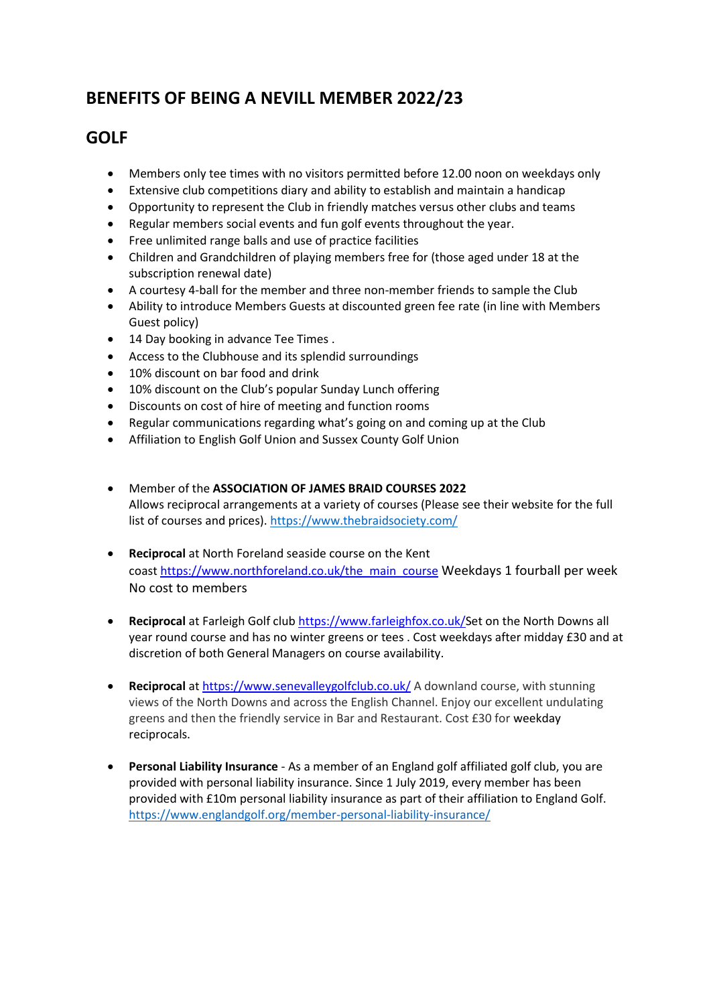## **BENEFITS OF BEING A NEVILL MEMBER 2022/23**

## **GOLF**

- Members only tee times with no visitors permitted before 12.00 noon on weekdays only
- Extensive club competitions diary and ability to establish and maintain a handicap
- Opportunity to represent the Club in friendly matches versus other clubs and teams
- Regular members social events and fun golf events throughout the year.
- Free unlimited range balls and use of practice facilities
- Children and Grandchildren of playing members free for (those aged under 18 at the subscription renewal date)
- A courtesy 4-ball for the member and three non-member friends to sample the Club
- Ability to introduce Members Guests at discounted green fee rate (in line with Members Guest policy)
- 14 Day booking in advance Tee Times .
- Access to the Clubhouse and its splendid surroundings
- 10% discount on bar food and drink
- 10% discount on the Club's popular Sunday Lunch offering
- Discounts on cost of hire of meeting and function rooms
- Regular communications regarding what's going on and coming up at the Club
- Affiliation to English Golf Union and Sussex County Golf Union
- Member of the **ASSOCIATION OF JAMES BRAID COURSES 2022** Allows reciprocal arrangements at a variety of courses (Please see their website for the full list of courses and prices).<https://www.thebraidsociety.com/>
- **Reciprocal** at North Foreland seaside course on the Kent coast [https://www.northforeland.co.uk/the\\_main\\_course](https://www.northforeland.co.uk/the_main_course) Weekdays 1 fourball per week No cost to members
- **Reciprocal** at Farleigh Golf club [https://www.farleighfox.co.uk/S](https://www.farleighfox.co.uk/)et on the North Downs all year round course and has no winter greens or tees . Cost weekdays after midday £30 and at discretion of both General Managers on course availability.
- **Reciprocal** at <https://www.senevalleygolfclub.co.uk/> A downland course, with stunning views of the North Downs and across the English Channel. Enjoy our excellent undulating greens and then the friendly service in Bar and Restaurant. Cost £30 for weekday reciprocals.
- **Personal Liability Insurance** As a member of an England golf affiliated golf club, you are provided with personal liability insurance. Since 1 July 2019, every member has been provided with £10m personal liability insurance as part of their affiliation to England Golf. <https://www.englandgolf.org/member-personal-liability-insurance/>